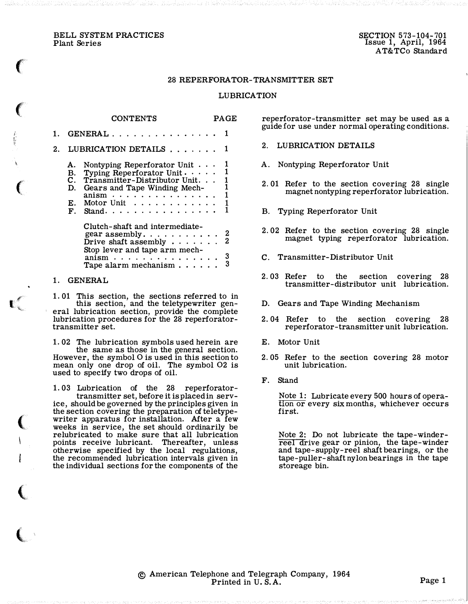BELL SYSTEM PRACTICES Plant Series

 $\big($ 

 $\big($ 

(

t #"

 $\big($ 

(

,

j. ,; I'

## 28 REPERFORATOR-TRANSMITTER SET

## LUBRICATION

 $\mathbf{R}$   $\mathbf{R}$ 

|    |          | <b>CONTENTS</b>                                                                                                                                                                                                                                       | PAGE                                |
|----|----------|-------------------------------------------------------------------------------------------------------------------------------------------------------------------------------------------------------------------------------------------------------|-------------------------------------|
|    |          | GENERAL 1                                                                                                                                                                                                                                             |                                     |
| 2. |          | LUBRICATION DETAILS                                                                                                                                                                                                                                   |                                     |
|    | А.<br>Е. | Nontyping Reperforator Unit $\cdots$<br>B. Typing Reperforator Unit $\cdots$<br>C. Transmitter-Distributor Unit<br>D. Gears and Tape Winding Mech-<br>$\text{anism}$ , , , , , , , , , , , , , , , ,<br>Motor Unit $\dots \dots \dots$<br>$F.$ Stand. | $\frac{1}{1}$<br>1<br>$\frac{1}{1}$ |
|    |          | Clutch-shaft and intermediate-<br>Drive shaft assembly $\cdots$<br>Stop lever and tape arm mech-<br>$\text{anism} \quad \ldots \quad \ldots \quad \ldots \quad \ldots$<br>Tape alarm mechanism $\cdots$ .                                             | 2<br>3<br>3                         |

 $\alpha$ <sup>2</sup>

#### 1. GENERAL

1. 01 This section, the sections referred to in this section, and the teletypewriter general lubrication section, provide the complete lubrication procedures for the 28 reperforatortransmitter set.

1. 02 The lubrication symbols used herein are the same as those in the general section. However, the symbol 0 is used in this section to mean only one drop of oil. The symbol 02 is used to specify two drops of oil.

1. 03 Lubrication of the 28 reperforatortransmitter set, before it is placed in service, should be governed by the principles given in the section covering the preparation of teletypewriter apparatus for installation. After a few weeks in service, the set should ordinarily be relubricated to make sure that all lubrication points receive lubricant. Thereafter, unless otherwise specified by the local regulations, the recommended lubrication intervals given in the individual sections for the components of the

reperforator-transmitter set may be used as a guide for use under normal operating conditions.

- 2. LUBRICATION DETAILS
- A. Nontyping Reperforator Unit
- 2. 01 Refer to the section covering 28 single magnet nontyping reperforator lubrication.
- B. Typing Reperforator Unit
- 2. 02 Refer to the section covering 28 single magnet typing reperforator lubrication.
- C. Transmitter-Distributor Unit
- 2. 03 Refer to the section covering 28 transmitter-distributor unit lubrication.
- D. Gears and Tape Winding Mechanism
- 2. 04 Refer to the section covering 28 reperforator-transmitter unit lubrication.
- E. Motor Unit
- 2. 05 Refer to the section covering 28 motor unit lubrication.
- F. Stand

Note 1: Lubricate every 500 hours of operation or every six months, whichever occurs first.

Note 2: Do not lubricate the tape-winderreel drive gear or pinion, the tape-winder and tape-supply-reel shaft bearings, or the tape-puller-shaft nylon bearings in the tape storeage bin.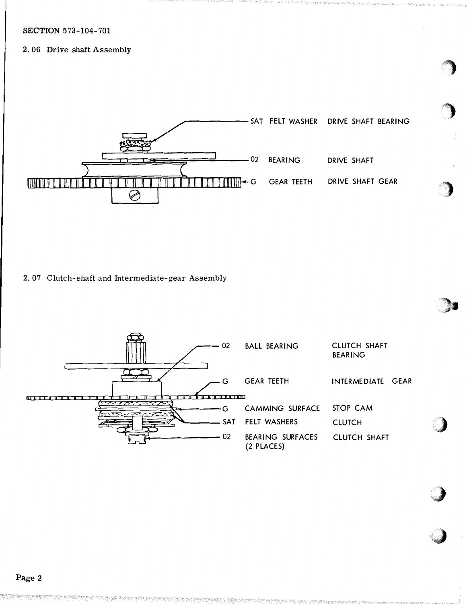# **SECTION 573-104-701**

# 2.06 Drive shaft Assembly



2.07 Clutch-shaft and Intermediate-gear Assembly

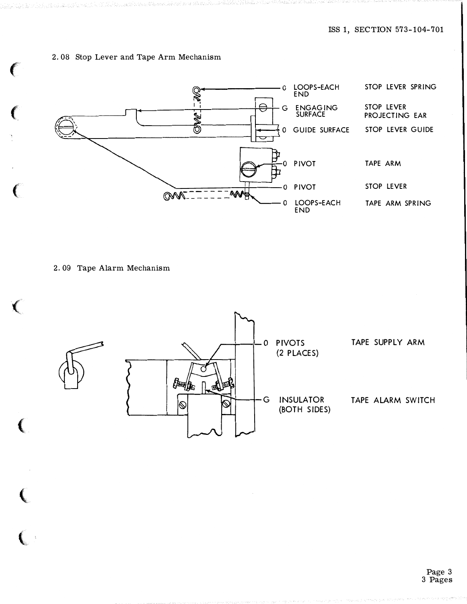# 2. 08 Stop Lever and Tape Arm Mechanism



2. 09 Tape Alarm Mechanism

**Contract Contract Contract Contract Contract Contract Contract Contract Contract Contract Contract Contract Contract Contract Contract Contract Contract Contract Contract Contract Contract Contract Contract Contract Contr** 

€

**CONTRACTOR**